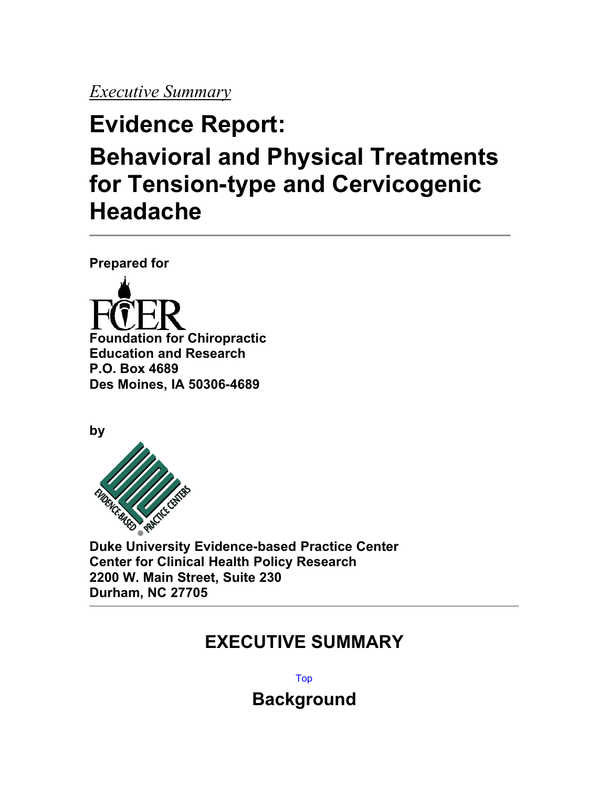# *Executive Summary*

# **Evidence Report: Behavioral and Physical Treatments for Tension-type and Cervicogenic Headache**

**Prepared for**



**by**



**Duke University Evidence-based Practice Center Center for Clinical Health Policy Research 2200 W. Main Street, Suite 230 Durham, NC 27705**

# **EXECUTIVE SUMMARY**

Top

**Background**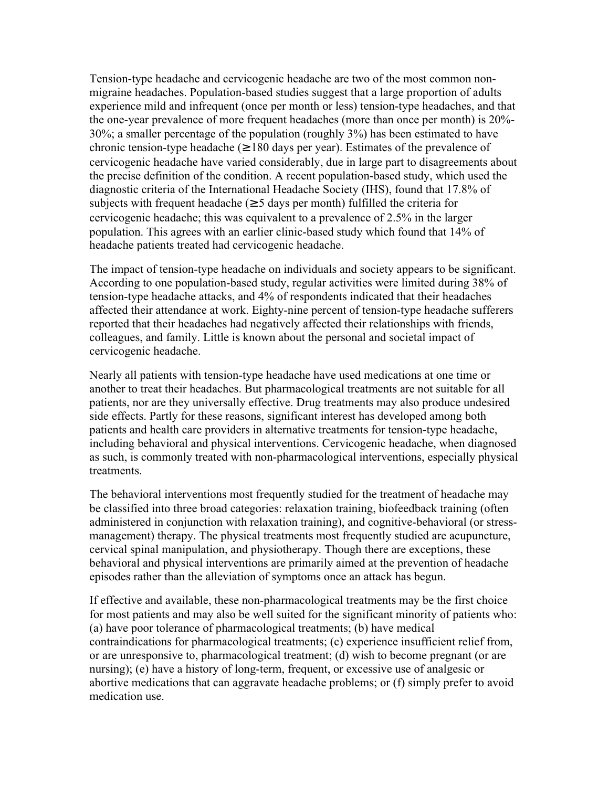Tension-type headache and cervicogenic headache are two of the most common nonmigraine headaches. Population-based studies suggest that a large proportion of adults experience mild and infrequent (once per month or less) tension-type headaches, and that the one-year prevalence of more frequent headaches (more than once per month) is 20%- 30%; a smaller percentage of the population (roughly 3%) has been estimated to have chronic tension-type headache ( $\geq 180$  days per year). Estimates of the prevalence of cervicogenic headache have varied considerably, due in large part to disagreements about the precise definition of the condition. A recent population-based study, which used the diagnostic criteria of the International Headache Society (IHS), found that 17.8% of subjects with frequent headache ( $\geq$  5 days per month) fulfilled the criteria for cervicogenic headache; this was equivalent to a prevalence of 2.5% in the larger population. This agrees with an earlier clinic-based study which found that 14% of headache patients treated had cervicogenic headache.

The impact of tension-type headache on individuals and society appears to be significant. According to one population-based study, regular activities were limited during 38% of tension-type headache attacks, and 4% of respondents indicated that their headaches affected their attendance at work. Eighty-nine percent of tension-type headache sufferers reported that their headaches had negatively affected their relationships with friends, colleagues, and family. Little is known about the personal and societal impact of cervicogenic headache.

Nearly all patients with tension-type headache have used medications at one time or another to treat their headaches. But pharmacological treatments are not suitable for all patients, nor are they universally effective. Drug treatments may also produce undesired side effects. Partly for these reasons, significant interest has developed among both patients and health care providers in alternative treatments for tension-type headache, including behavioral and physical interventions. Cervicogenic headache, when diagnosed as such, is commonly treated with non-pharmacological interventions, especially physical treatments.

The behavioral interventions most frequently studied for the treatment of headache may be classified into three broad categories: relaxation training, biofeedback training (often administered in conjunction with relaxation training), and cognitive-behavioral (or stressmanagement) therapy. The physical treatments most frequently studied are acupuncture, cervical spinal manipulation, and physiotherapy. Though there are exceptions, these behavioral and physical interventions are primarily aimed at the prevention of headache episodes rather than the alleviation of symptoms once an attack has begun.

If effective and available, these non-pharmacological treatments may be the first choice for most patients and may also be well suited for the significant minority of patients who: (a) have poor tolerance of pharmacological treatments; (b) have medical contraindications for pharmacological treatments; (c) experience insufficient relief from, or are unresponsive to, pharmacological treatment; (d) wish to become pregnant (or are nursing); (e) have a history of long-term, frequent, or excessive use of analgesic or abortive medications that can aggravate headache problems; or (f) simply prefer to avoid medication use.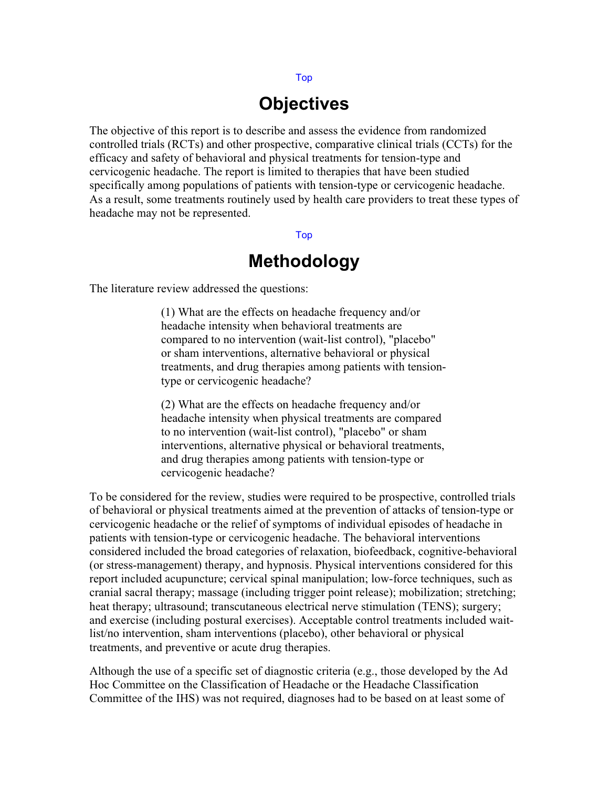# **Objectives**

The objective of this report is to describe and assess the evidence from randomized controlled trials (RCTs) and other prospective, comparative clinical trials (CCTs) for the efficacy and safety of behavioral and physical treatments for tension-type and cervicogenic headache. The report is limited to therapies that have been studied specifically among populations of patients with tension-type or cervicogenic headache. As a result, some treatments routinely used by health care providers to treat these types of headache may not be represented.

#### Top

# **Methodology**

The literature review addressed the questions:

(1) What are the effects on headache frequency and/or headache intensity when behavioral treatments are compared to no intervention (wait-list control), "placebo" or sham interventions, alternative behavioral or physical treatments, and drug therapies among patients with tensiontype or cervicogenic headache?

(2) What are the effects on headache frequency and/or headache intensity when physical treatments are compared to no intervention (wait-list control), "placebo" or sham interventions, alternative physical or behavioral treatments, and drug therapies among patients with tension-type or cervicogenic headache?

To be considered for the review, studies were required to be prospective, controlled trials of behavioral or physical treatments aimed at the prevention of attacks of tension-type or cervicogenic headache or the relief of symptoms of individual episodes of headache in patients with tension-type or cervicogenic headache. The behavioral interventions considered included the broad categories of relaxation, biofeedback, cognitive-behavioral (or stress-management) therapy, and hypnosis. Physical interventions considered for this report included acupuncture; cervical spinal manipulation; low-force techniques, such as cranial sacral therapy; massage (including trigger point release); mobilization; stretching; heat therapy; ultrasound; transcutaneous electrical nerve stimulation (TENS); surgery; and exercise (including postural exercises). Acceptable control treatments included waitlist/no intervention, sham interventions (placebo), other behavioral or physical treatments, and preventive or acute drug therapies.

Although the use of a specific set of diagnostic criteria (e.g., those developed by the Ad Hoc Committee on the Classification of Headache or the Headache Classification Committee of the IHS) was not required, diagnoses had to be based on at least some of

#### Top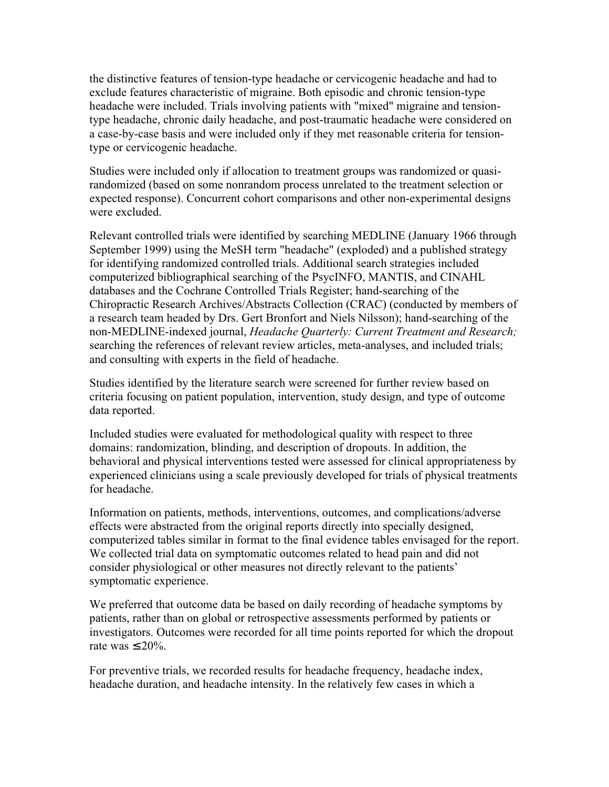the distinctive features of tension-type headache or cervicogenic headache and had to exclude features characteristic of migraine. Both episodic and chronic tension-type headache were included. Trials involving patients with "mixed" migraine and tensiontype headache, chronic daily headache, and post-traumatic headache were considered on a case-by-case basis and were included only if they met reasonable criteria for tensiontype or cervicogenic headache.

Studies were included only if allocation to treatment groups was randomized or quasirandomized (based on some nonrandom process unrelated to the treatment selection or expected response). Concurrent cohort comparisons and other non-experimental designs were excluded.

Relevant controlled trials were identified by searching MEDLINE (January 1966 through September 1999) using the MeSH term "headache" (exploded) and a published strategy for identifying randomized controlled trials. Additional search strategies included computerized bibliographical searching of the PsycINFO, MANTIS, and CINAHL databases and the Cochrane Controlled Trials Register; hand-searching of the Chiropractic Research Archives/Abstracts Collection (CRAC) (conducted by members of a research team headed by Drs. Gert Bronfort and Niels Nilsson); hand-searching of the non-MEDLINE-indexed journal, *Headache Quarterly: Current Treatment and Research;* searching the references of relevant review articles, meta-analyses, and included trials; and consulting with experts in the field of headache.

Studies identified by the literature search were screened for further review based on criteria focusing on patient population, intervention, study design, and type of outcome data reported.

Included studies were evaluated for methodological quality with respect to three domains: randomization, blinding, and description of dropouts. In addition, the behavioral and physical interventions tested were assessed for clinical appropriateness by experienced clinicians using a scale previously developed for trials of physical treatments for headache.

Information on patients, methods, interventions, outcomes, and complications/adverse effects were abstracted from the original reports directly into specially designed, computerized tables similar in format to the final evidence tables envisaged for the report. We collected trial data on symptomatic outcomes related to head pain and did not consider physiological or other measures not directly relevant to the patients' symptomatic experience.

We preferred that outcome data be based on daily recording of headache symptoms by patients, rather than on global or retrospective assessments performed by patients or investigators. Outcomes were recorded for all time points reported for which the dropout rate was  $\leq 20\%$ .

For preventive trials, we recorded results for headache frequency, headache index, headache duration, and headache intensity. In the relatively few cases in which a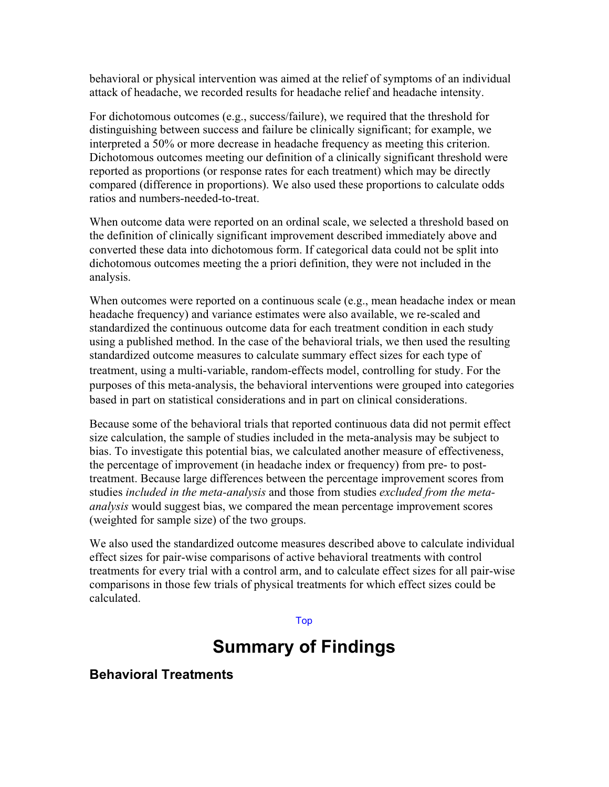behavioral or physical intervention was aimed at the relief of symptoms of an individual attack of headache, we recorded results for headache relief and headache intensity.

For dichotomous outcomes (e.g., success/failure), we required that the threshold for distinguishing between success and failure be clinically significant; for example, we interpreted a 50% or more decrease in headache frequency as meeting this criterion. Dichotomous outcomes meeting our definition of a clinically significant threshold were reported as proportions (or response rates for each treatment) which may be directly compared (difference in proportions). We also used these proportions to calculate odds ratios and numbers-needed-to-treat.

When outcome data were reported on an ordinal scale, we selected a threshold based on the definition of clinically significant improvement described immediately above and converted these data into dichotomous form. If categorical data could not be split into dichotomous outcomes meeting the a priori definition, they were not included in the analysis.

When outcomes were reported on a continuous scale (e.g., mean headache index or mean headache frequency) and variance estimates were also available, we re-scaled and standardized the continuous outcome data for each treatment condition in each study using a published method. In the case of the behavioral trials, we then used the resulting standardized outcome measures to calculate summary effect sizes for each type of treatment, using a multi-variable, random-effects model, controlling for study. For the purposes of this meta-analysis, the behavioral interventions were grouped into categories based in part on statistical considerations and in part on clinical considerations.

Because some of the behavioral trials that reported continuous data did not permit effect size calculation, the sample of studies included in the meta-analysis may be subject to bias. To investigate this potential bias, we calculated another measure of effectiveness, the percentage of improvement (in headache index or frequency) from pre- to posttreatment. Because large differences between the percentage improvement scores from studies *included in the meta-analysis* and those from studies *excluded from the metaanalysis* would suggest bias, we compared the mean percentage improvement scores (weighted for sample size) of the two groups.

We also used the standardized outcome measures described above to calculate individual effect sizes for pair-wise comparisons of active behavioral treatments with control treatments for every trial with a control arm, and to calculate effect sizes for all pair-wise comparisons in those few trials of physical treatments for which effect sizes could be calculated.

#### Top

## **Summary of Findings**

### **Behavioral Treatments**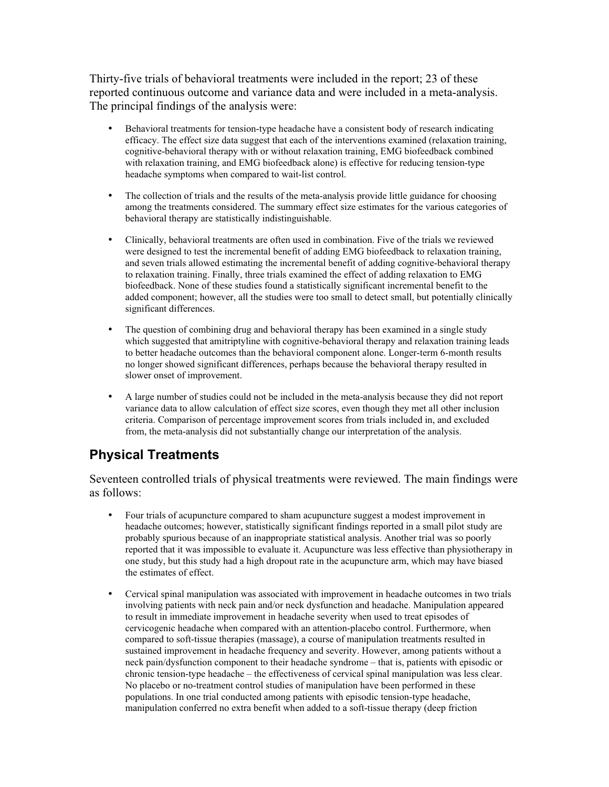Thirty-five trials of behavioral treatments were included in the report; 23 of these reported continuous outcome and variance data and were included in a meta-analysis. The principal findings of the analysis were:

- Behavioral treatments for tension-type headache have a consistent body of research indicating efficacy. The effect size data suggest that each of the interventions examined (relaxation training, cognitive-behavioral therapy with or without relaxation training, EMG biofeedback combined with relaxation training, and EMG biofeedback alone) is effective for reducing tension-type headache symptoms when compared to wait-list control.
- The collection of trials and the results of the meta-analysis provide little guidance for choosing among the treatments considered. The summary effect size estimates for the various categories of behavioral therapy are statistically indistinguishable.
- Clinically, behavioral treatments are often used in combination. Five of the trials we reviewed were designed to test the incremental benefit of adding EMG biofeedback to relaxation training, and seven trials allowed estimating the incremental benefit of adding cognitive-behavioral therapy to relaxation training. Finally, three trials examined the effect of adding relaxation to EMG biofeedback. None of these studies found a statistically significant incremental benefit to the added component; however, all the studies were too small to detect small, but potentially clinically significant differences.
- The question of combining drug and behavioral therapy has been examined in a single study which suggested that amitriptyline with cognitive-behavioral therapy and relaxation training leads to better headache outcomes than the behavioral component alone. Longer-term 6-month results no longer showed significant differences, perhaps because the behavioral therapy resulted in slower onset of improvement.
- A large number of studies could not be included in the meta-analysis because they did not report variance data to allow calculation of effect size scores, even though they met all other inclusion criteria. Comparison of percentage improvement scores from trials included in, and excluded from, the meta-analysis did not substantially change our interpretation of the analysis.

### **Physical Treatments**

Seventeen controlled trials of physical treatments were reviewed. The main findings were as follows:

- Four trials of acupuncture compared to sham acupuncture suggest a modest improvement in headache outcomes; however, statistically significant findings reported in a small pilot study are probably spurious because of an inappropriate statistical analysis. Another trial was so poorly reported that it was impossible to evaluate it. Acupuncture was less effective than physiotherapy in one study, but this study had a high dropout rate in the acupuncture arm, which may have biased the estimates of effect.
- Cervical spinal manipulation was associated with improvement in headache outcomes in two trials involving patients with neck pain and/or neck dysfunction and headache. Manipulation appeared to result in immediate improvement in headache severity when used to treat episodes of cervicogenic headache when compared with an attention-placebo control. Furthermore, when compared to soft-tissue therapies (massage), a course of manipulation treatments resulted in sustained improvement in headache frequency and severity. However, among patients without a neck pain/dysfunction component to their headache syndrome – that is, patients with episodic or chronic tension-type headache – the effectiveness of cervical spinal manipulation was less clear. No placebo or no-treatment control studies of manipulation have been performed in these populations. In one trial conducted among patients with episodic tension-type headache, manipulation conferred no extra benefit when added to a soft-tissue therapy (deep friction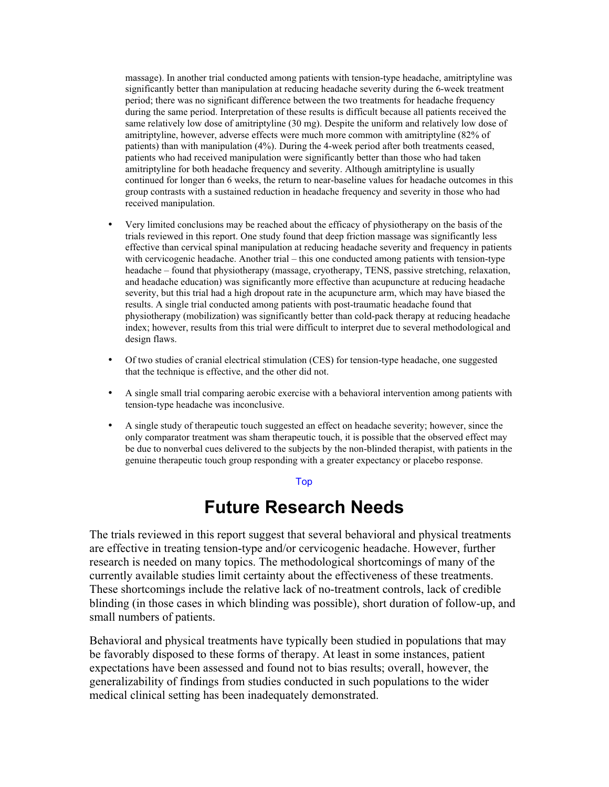massage). In another trial conducted among patients with tension-type headache, amitriptyline was significantly better than manipulation at reducing headache severity during the 6-week treatment period; there was no significant difference between the two treatments for headache frequency during the same period. Interpretation of these results is difficult because all patients received the same relatively low dose of amitriptyline (30 mg). Despite the uniform and relatively low dose of amitriptyline, however, adverse effects were much more common with amitriptyline (82% of patients) than with manipulation (4%). During the 4-week period after both treatments ceased, patients who had received manipulation were significantly better than those who had taken amitriptyline for both headache frequency and severity. Although amitriptyline is usually continued for longer than 6 weeks, the return to near-baseline values for headache outcomes in this group contrasts with a sustained reduction in headache frequency and severity in those who had received manipulation.

- Very limited conclusions may be reached about the efficacy of physiotherapy on the basis of the trials reviewed in this report. One study found that deep friction massage was significantly less effective than cervical spinal manipulation at reducing headache severity and frequency in patients with cervicogenic headache. Another trial – this one conducted among patients with tension-type headache – found that physiotherapy (massage, cryotherapy, TENS, passive stretching, relaxation, and headache education) was significantly more effective than acupuncture at reducing headache severity, but this trial had a high dropout rate in the acupuncture arm, which may have biased the results. A single trial conducted among patients with post-traumatic headache found that physiotherapy (mobilization) was significantly better than cold-pack therapy at reducing headache index; however, results from this trial were difficult to interpret due to several methodological and design flaws.
- Of two studies of cranial electrical stimulation (CES) for tension-type headache, one suggested that the technique is effective, and the other did not.
- A single small trial comparing aerobic exercise with a behavioral intervention among patients with tension-type headache was inconclusive.
- A single study of therapeutic touch suggested an effect on headache severity; however, since the only comparator treatment was sham therapeutic touch, it is possible that the observed effect may be due to nonverbal cues delivered to the subjects by the non-blinded therapist, with patients in the genuine therapeutic touch group responding with a greater expectancy or placebo response.

#### Top

## **Future Research Needs**

The trials reviewed in this report suggest that several behavioral and physical treatments are effective in treating tension-type and/or cervicogenic headache. However, further research is needed on many topics. The methodological shortcomings of many of the currently available studies limit certainty about the effectiveness of these treatments. These shortcomings include the relative lack of no-treatment controls, lack of credible blinding (in those cases in which blinding was possible), short duration of follow-up, and small numbers of patients.

Behavioral and physical treatments have typically been studied in populations that may be favorably disposed to these forms of therapy. At least in some instances, patient expectations have been assessed and found not to bias results; overall, however, the generalizability of findings from studies conducted in such populations to the wider medical clinical setting has been inadequately demonstrated.